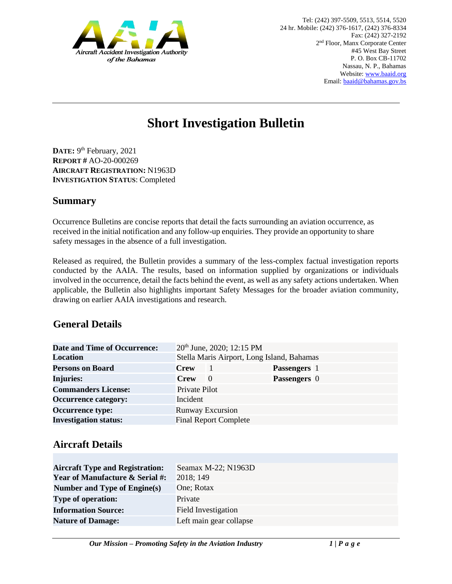

# **Short Investigation Bulletin**

DATE: 9<sup>th</sup> February, 2021 **REPORT #** AO-20-000269 **AIRCRAFT REGISTRATION:** N1963D **INVESTIGATION STATUS**: Completed

#### **Summary**

Occurrence Bulletins are concise reports that detail the facts surrounding an aviation occurrence, as received in the initial notification and any follow-up enquiries. They provide an opportunity to share safety messages in the absence of a full investigation*.* 

Released as required, the Bulletin provides a summary of the less-complex factual investigation reports conducted by the AAIA. The results, based on information supplied by organizations or individuals involved in the occurrence, detail the facts behind the event, as well as any safety actions undertaken. When applicable, the Bulletin also highlights important Safety Messages for the broader aviation community, drawing on earlier AAIA investigations and research.

#### **General Details**

| <b>Date and Time of Occurrence:</b> |                                            | 20 <sup>th</sup> June, 2020; 12:15 PM |                     |  |
|-------------------------------------|--------------------------------------------|---------------------------------------|---------------------|--|
| <b>Location</b>                     | Stella Maris Airport, Long Island, Bahamas |                                       |                     |  |
| <b>Persons on Board</b>             | <b>Crew</b>                                | -1                                    | <b>Passengers</b> 1 |  |
| <b>Injuries:</b>                    | <b>Crew</b>                                | $\Omega$                              | <b>Passengers</b> 0 |  |
| <b>Commanders License:</b>          | Private Pilot                              |                                       |                     |  |
| <b>Occurrence category:</b>         | Incident                                   |                                       |                     |  |
| <b>Occurrence type:</b>             | <b>Runway Excursion</b>                    |                                       |                     |  |
| <b>Investigation status:</b>        |                                            | <b>Final Report Complete</b>          |                     |  |

## **Aircraft Details**

| <b>Aircraft Type and Registration:</b>     | Seamax M-22; N1963D     |
|--------------------------------------------|-------------------------|
| <b>Year of Manufacture &amp; Serial #:</b> | 2018; 149               |
| Number and Type of Engine(s)               | One; Rotax              |
| <b>Type of operation:</b>                  | Private                 |
| <b>Information Source:</b>                 | Field Investigation     |
| <b>Nature of Damage:</b>                   | Left main gear collapse |